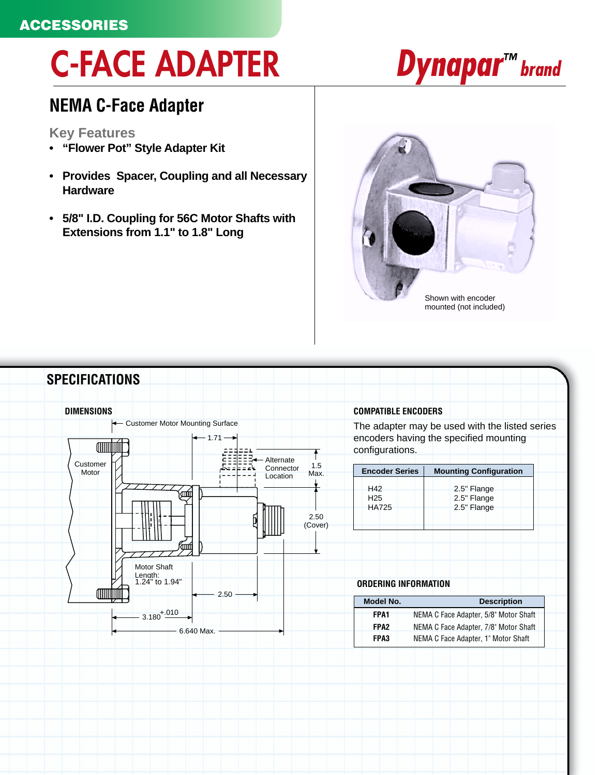### **ACCESSORIES**

# **C-FACE ADAPTER**

### **NEMA C-Face Adapter**

#### **Key Features**

- **"Flower Pot" Style Adapter Kit**
- **Provides Spacer, Coupling and all Necessary Hardware**
- **5/8" I.D. Coupling for 56C Motor Shafts with Extensions from 1.1" to 1.8" Long**





## *Dynapar<sup>™</sup> brand*